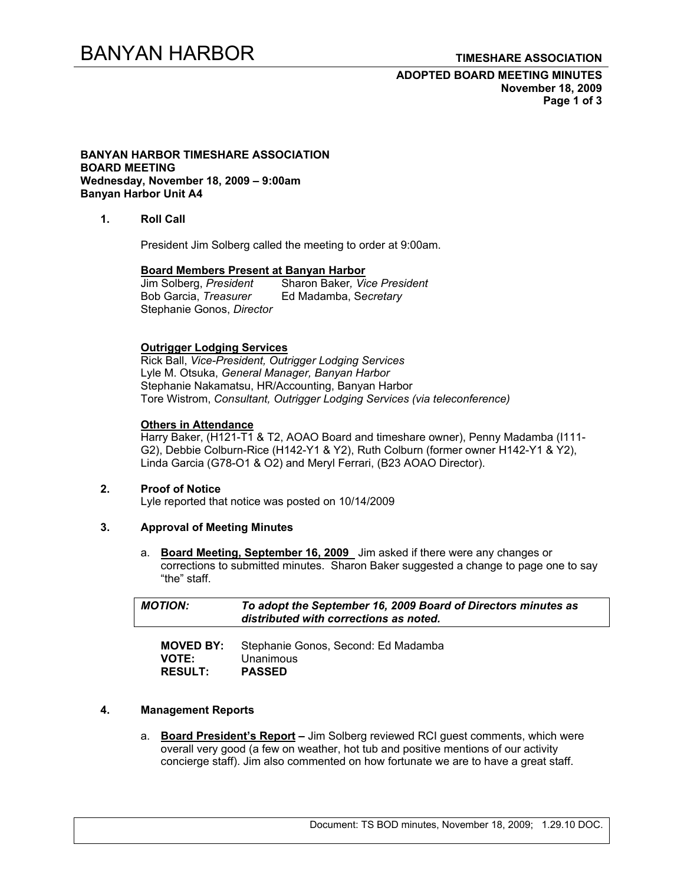# BANYAN HARBOR **TIMESHARE ASSOCIATION**

# **ADOPTED BOARD MEETING MINUTES November 18, 2009 Page 1 of 3**

#### **BANYAN HARBOR TIMESHARE ASSOCIATION BOARD MEETING Wednesday, November 18, 2009 – 9:00am Banyan Harbor Unit A4**

## **1. Roll Call**

President Jim Solberg called the meeting to order at 9:00am.

#### **Board Members Present at Banyan Harbor**

Jim Solberg, *President* Sharon Baker*, Vice President*  Bob Garcia, *Treasurer* Ed Madamba, S*ecretary*  Stephanie Gonos, *Director*

#### **Outrigger Lodging Services**

Rick Ball, *Vice-President, Outrigger Lodging Services* Lyle M. Otsuka, *General Manager, Banyan Harbor*  Stephanie Nakamatsu, HR/Accounting, Banyan Harbor Tore Wistrom, *Consultant, Outrigger Lodging Services (via teleconference)* 

#### **Others in Attendance**

Harry Baker, (H121-T1 & T2, AOAO Board and timeshare owner), Penny Madamba (I111- G2), Debbie Colburn-Rice (H142-Y1 & Y2), Ruth Colburn (former owner H142-Y1 & Y2), Linda Garcia (G78-O1 & O2) and Meryl Ferrari, (B23 AOAO Director).

#### **2. Proof of Notice**

Lyle reported that notice was posted on 10/14/2009

#### **3. Approval of Meeting Minutes**

a. **Board Meeting, September 16, 2009** Jim asked if there were any changes or corrections to submitted minutes. Sharon Baker suggested a change to page one to say "the" staff.

| <b>MOTION:</b>   | To adopt the September 16, 2009 Board of Directors minutes as<br>distributed with corrections as noted. |
|------------------|---------------------------------------------------------------------------------------------------------|
| <b>MOVED BY:</b> | Stephanie Gonos, Second: Ed Madamba                                                                     |
| <b>VOTE:</b>     | Unanimous                                                                                               |

|                | _ _ _         |
|----------------|---------------|
| <b>RESULT:</b> | <b>PASSED</b> |

#### **4. Management Reports**

a. **Board President's Report –** Jim Solberg reviewed RCI guest comments, which were overall very good (a few on weather, hot tub and positive mentions of our activity concierge staff). Jim also commented on how fortunate we are to have a great staff.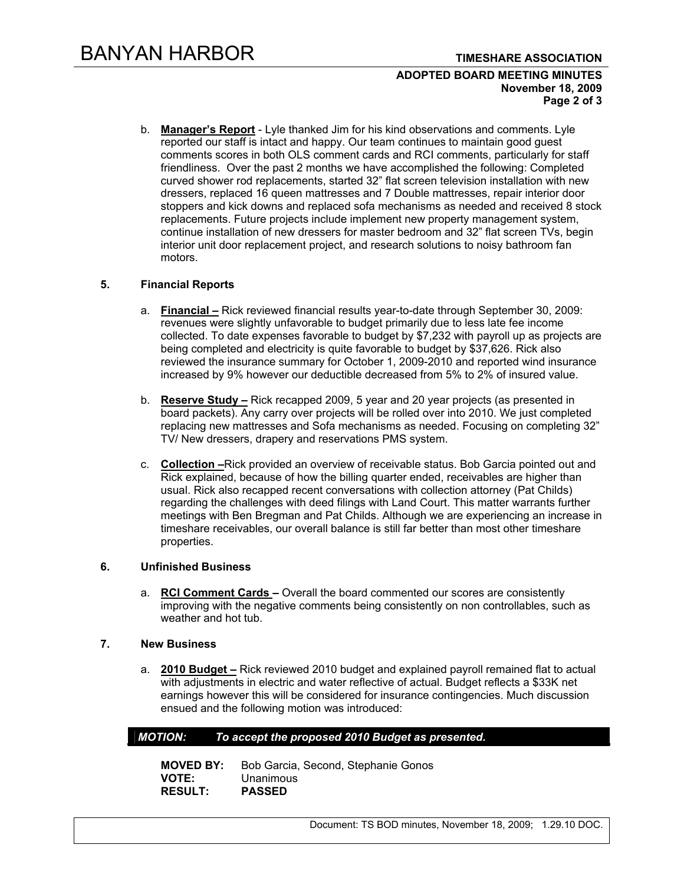### **ADOPTED BOARD MEETING MINUTES November 18, 2009 Page 2 of 3**

b. **Manager's Report** - Lyle thanked Jim for his kind observations and comments. Lyle reported our staff is intact and happy. Our team continues to maintain good guest comments scores in both OLS comment cards and RCI comments, particularly for staff friendliness. Over the past 2 months we have accomplished the following: Completed curved shower rod replacements, started 32" flat screen television installation with new dressers, replaced 16 queen mattresses and 7 Double mattresses, repair interior door stoppers and kick downs and replaced sofa mechanisms as needed and received 8 stock replacements. Future projects include implement new property management system, continue installation of new dressers for master bedroom and 32" flat screen TVs, begin interior unit door replacement project, and research solutions to noisy bathroom fan motors.

#### **5. Financial Reports**

- a. **Financial –** Rick reviewed financial results year-to-date through September 30, 2009: revenues were slightly unfavorable to budget primarily due to less late fee income collected. To date expenses favorable to budget by \$7,232 with payroll up as projects are being completed and electricity is quite favorable to budget by \$37,626. Rick also reviewed the insurance summary for October 1, 2009-2010 and reported wind insurance increased by 9% however our deductible decreased from 5% to 2% of insured value.
- b. **Reserve Study –** Rick recapped 2009, 5 year and 20 year projects (as presented in board packets). Any carry over projects will be rolled over into 2010. We just completed replacing new mattresses and Sofa mechanisms as needed. Focusing on completing 32" TV/ New dressers, drapery and reservations PMS system.
- c. **Collection –**Rick provided an overview of receivable status. Bob Garcia pointed out and Rick explained, because of how the billing quarter ended, receivables are higher than usual. Rick also recapped recent conversations with collection attorney (Pat Childs) regarding the challenges with deed filings with Land Court. This matter warrants further meetings with Ben Bregman and Pat Childs. Although we are experiencing an increase in timeshare receivables, our overall balance is still far better than most other timeshare properties.

## **6. Unfinished Business**

a. **RCI Comment Cards –** Overall the board commented our scores are consistently improving with the negative comments being consistently on non controllables, such as weather and hot tub.

### **7. New Business**

a. **2010 Budget –** Rick reviewed 2010 budget and explained payroll remained flat to actual with adjustments in electric and water reflective of actual. Budget reflects a \$33K net earnings however this will be considered for insurance contingencies. Much discussion ensued and the following motion was introduced:

# *MOTION: To accept the proposed 2010 Budget as presented.*

**MOVED BY:** Bob Garcia, Second, Stephanie Gonos **VOTE:** Unanimous **RESULT: PASSED**